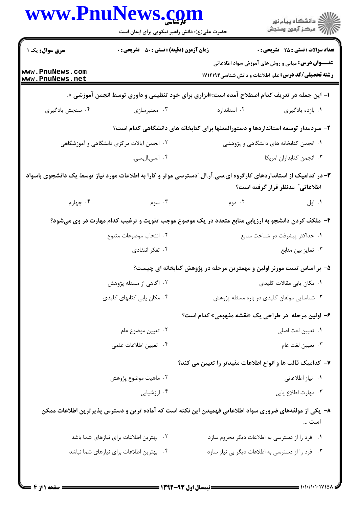|                                            | www.PnuNews.com<br>حضرت علی(ع): دانش راهبر نیکویی برای ایمان است                                                  |                                                                       | ڪ دانشڪاه پيام نور<br>/> مرڪز آزمون وسنڊش                |
|--------------------------------------------|-------------------------------------------------------------------------------------------------------------------|-----------------------------------------------------------------------|----------------------------------------------------------|
| <b>سری سوال :</b> یک ۱                     | <b>زمان آزمون (دقیقه) : تستی : 50 ٪ تشریحی : 0</b>                                                                |                                                                       | <b>تعداد سوالات : تستی : 25 گشریحی : 0</b>               |
| www.PnuNews.com<br>www.PnuNews.net         |                                                                                                                   | <b>رشته تحصیلی/کد درس:</b> علم اطلاعات و دانش شناسی1۷۱۲۱۹۴            | <b>عنـــوان درس:</b> مبانی و روش های آموزش سواد اطلاعاتی |
|                                            | ا– این جمله در تعریف کدام اصطلاح آمده است:«ابزاری برای خود تنظیمی و داوری توسط انجمن آموزشی ».                    |                                                                       |                                                          |
| ۰۴ سنجش يادگيري                            | ۰۳ معتبرسازي                                                                                                      | ۰۲ استاندارد                                                          | ٠١. بازده يادگيري                                        |
|                                            | ۲– سردمدار توسعه استانداردها و دستورالمعلها برای کتابخانه های دانشگاهی کدام است؟                                  |                                                                       |                                                          |
| ۲. انجمن ایالات مرکزی دانشگاهی و آموزشگاهی |                                                                                                                   | ۰۱ انجمن کتابخانه های دانشگاهی و پژوهشی                               |                                                          |
|                                            | ۰۴ ا.سی.ال.سی.                                                                                                    |                                                                       | ٠٣ انجمن كتابداران امريكا                                |
|                                            | ۳- در کدامیک از استانداردهای کارگروه ای.سی.آر.ال. ّدسترسی موثر و کارا به اطلاعات مورد نیاز توسط یک دانشجوی باسواد |                                                                       | اطلاعاتی ؒ مدنظر قرار گرفته است؟                         |
| ۰۴ چهارم                                   | ۰۳ سوم                                                                                                            | ۰۲ دوم                                                                | ۰۱ اول                                                   |
|                                            | ۴- ملکف کردن دانشجو به ارزیابی منابع متعدد در یک موضوع موجب تقویت و ترغیب کدام مهارت در وی میشود؟                 |                                                                       |                                                          |
|                                            | ۰۲ انتخاب موضوعات متنوع                                                                                           |                                                                       | ۰۱ حداکثر پیشرفت در شناخت منابع                          |
|                                            | ۰۴ تفکر انتقادی                                                                                                   |                                                                       | ۰۳ تمایز بین منابع                                       |
|                                            |                                                                                                                   | ۵– بر اساس تست مورنر اولین و مهمترین مرحله در پژوهش کتابخانه ای چیست؟ |                                                          |
|                                            | ۰۲ آگاهی از مسئله پژوهش                                                                                           |                                                                       | ۰۱ مکان یابی مقالات کلیدی                                |
|                                            | ۰۴ مکان یابی کتابهای کلیدی                                                                                        | ۰۳ شناسایی مولفان کلیدی در باره مسئله پژوهش                           |                                                          |
|                                            |                                                                                                                   | ۶- اولین مرحله در طراحی یک «نقشه مفهومی» کدام است؟                    |                                                          |
|                                            | ۰۲ تعيين موضوع عام                                                                                                |                                                                       | ٠١ تعيين لغت اصلي                                        |
|                                            | ۰۴ تعيين اطلاعات علمي                                                                                             |                                                                       | ۰۳ تعيين لغت عام                                         |
|                                            |                                                                                                                   | ۷– کدامیک قالب ها و انواع اطلاعات مفیدتر را تعیین می کند؟             |                                                          |
|                                            | ۰۲ ماهيت موضوع پژوهش                                                                                              |                                                                       | ۰۱ نیاز اطلاعاتی                                         |
|                                            | ۰۴ ارزشیابی                                                                                                       |                                                                       | ۰۳ مهارت اطلاع يابي                                      |
|                                            | ۸– یکی از مولفههای ضروری سواد اطلاعاتی فهمیدن این نکته است که آماده ترین و دسترس پذیرترین اطلاعات ممکن            |                                                                       | است                                                      |
|                                            | ۰۲ بهترین اطلاعات برای نیازهای شما باشد                                                                           | ۰۱ فرد را از دسترسی به اطلاعات دیگر محروم سازد                        |                                                          |
|                                            | ۰۴ بهترین اطلاعات برای نیازهای شما نباشد                                                                          | ۰۳ فرد را از دسترسی به اطلاعات دیگر بی نیاز سازد                      |                                                          |
|                                            |                                                                                                                   |                                                                       |                                                          |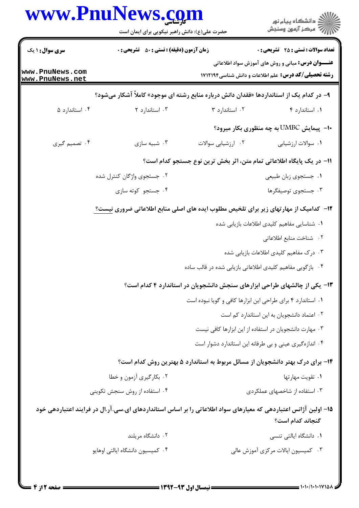|                                    | www.PnuNews.com<br>حضرت علی(ع): دانش راهبر نیکویی برای ایمان است                                                |                                                                                | ڪ دانشڪاه پيا <sub>م</sub> نور<br><i>(7</i> مرڪز آزمون وسنڊش                                                           |  |  |
|------------------------------------|-----------------------------------------------------------------------------------------------------------------|--------------------------------------------------------------------------------|------------------------------------------------------------------------------------------------------------------------|--|--|
| <b>سری سوال :</b> ۱ یک             | <b>زمان آزمون (دقیقه) : تستی : 50 ٪ تشریحی : 0</b>                                                              |                                                                                | <b>تعداد سوالات : تستی : 25 گشریحی : 0</b>                                                                             |  |  |
| www.PnuNews.com<br>www.PnuNews.net |                                                                                                                 |                                                                                | <b>عنـــوان درس:</b> مبانی و روش های آموزش سواد اطلاعاتی<br><b>رشته تحصیلی/کد درس:</b> علم اطلاعات و دانش شناسی1۷۱۲۱۹۴ |  |  |
|                                    | ۹- در کدام یک از استانداردها «فقدان دانش درباره منابع رشته ای موجود» کاملاً آشکار میشود؟                        |                                                                                |                                                                                                                        |  |  |
| ۰۴ استاندارد ۵                     | ۰۳ استاندارد ۲                                                                                                  | ۰۲ استاندارد ۳                                                                 | ٠١ استاندارد ۴                                                                                                         |  |  |
|                                    |                                                                                                                 |                                                                                | <b>۰۱-</b> پیمایش UMBC به چه منظوری بکار میرود؟                                                                        |  |  |
| ۰۴ تصمیم گیری                      | ۰۳ شبیه سازی                                                                                                    | ٠٢ ارزشيابي سوالات                                                             | ٠١ سوالات ارزشيابي                                                                                                     |  |  |
|                                    | 1۱– در یک پایگاه اطلاعاتی تمام متن، اثر بخش ترین نوع جستجو کدام است؟                                            |                                                                                |                                                                                                                        |  |  |
|                                    | ۰۲ جستجوی واژگان کنترل شده                                                                                      |                                                                                | ٠١ جستجوي زبان طبيعي                                                                                                   |  |  |
|                                    | ۰۴ جستجو کوته سازی                                                                                              |                                                                                | ۰۳ جستجوی توصیفگرها                                                                                                    |  |  |
|                                    | ۱۲- کدامیک از مهارتهای زیر برای تلخیص مطلوب ایده های اصلی منابع اطلاعاتی ضروری نیست؟                            |                                                                                |                                                                                                                        |  |  |
|                                    |                                                                                                                 |                                                                                | ٠١. شناسايي مفاهيم كليدي اطلاعات بازيابي شده                                                                           |  |  |
|                                    |                                                                                                                 |                                                                                | ٢. شناخت منابع اطلاعاتى                                                                                                |  |  |
|                                    |                                                                                                                 |                                                                                | ۰۳ درک مفاهیم کلیدی اطلاعات بازیابی شده                                                                                |  |  |
|                                    |                                                                                                                 | ۰۴ بازگویی مفاهیم کلیدی اطلاعاتی بازیابی شده در قالب ساده                      |                                                                                                                        |  |  |
|                                    |                                                                                                                 | ۱۳- یکی از چالشهای طراحی ابزارهای سنجش دانشجویان در استاندارد ۴ کدام است؟      |                                                                                                                        |  |  |
|                                    |                                                                                                                 | ۰۱ استاندارد ۴ برای طراحی این ابزارها کافی و گویا نبوده است                    |                                                                                                                        |  |  |
|                                    |                                                                                                                 |                                                                                | ٠٢ اعتماد دانشجويان به اين استاندارد كم است                                                                            |  |  |
|                                    |                                                                                                                 |                                                                                | ۰۳ مهارت دانشجویان در استفاده از این ابزارها کافی نیست                                                                 |  |  |
|                                    |                                                                                                                 |                                                                                | ۰۴ اندازهگیری عینی و بی طرفانه این استاندارد دشوار است                                                                 |  |  |
|                                    |                                                                                                                 | ۱۴- برای درک بهتر دانشجویان از مسائل مربوط به استاندارد ۵ بهترین روش کدام است؟ |                                                                                                                        |  |  |
|                                    | ۰۲ بکار گیری آزمون و خطا                                                                                        |                                                                                | ٠١. تقويت مهارتها                                                                                                      |  |  |
|                                    | ۰۴ استفاده از روش سنجش تکوینی                                                                                   |                                                                                | ۰۳ استفاده از شاخصهای عملکردی                                                                                          |  |  |
|                                    | ۱۵– اولین آژانس اعتباردهی که معیارهای سواد اطلاعاتی را بر اساس استانداردهای ای.سی.آر.ال در فرایند اعتباردهی خود |                                                                                |                                                                                                                        |  |  |
|                                    |                                                                                                                 |                                                                                | گنجاند کدام است؟                                                                                                       |  |  |
|                                    | ۰۲ دانشگاه مریلند                                                                                               |                                                                                | ۰۱ دانشگاه ایالتی تنسی                                                                                                 |  |  |
|                                    | ۰۴ کمیسیون دانشگاه ایالتی اوهایو                                                                                |                                                                                | ۰۳ کمیسیون ایالات مرکزی آموزش عالی                                                                                     |  |  |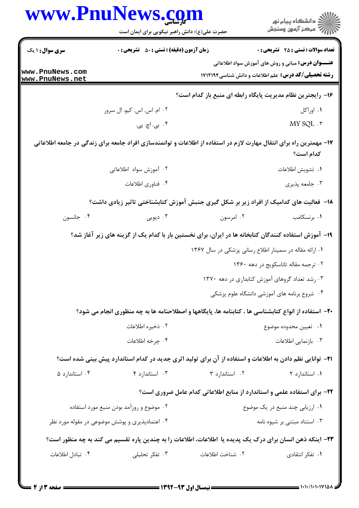|                                          | www.PnuNews.com                                                                                                     |                  | ڪ دانشڪاه پيا <sub>م</sub> نور<br><i>(7</i> مرڪز آزمون وسنڊش                                                           |
|------------------------------------------|---------------------------------------------------------------------------------------------------------------------|------------------|------------------------------------------------------------------------------------------------------------------------|
|                                          | حضرت علی(ع): دانش راهبر نیکویی برای ایمان است                                                                       |                  |                                                                                                                        |
| <b>سری سوال : ۱ یک</b>                   | <b>زمان آزمون (دقیقه) : تستی : 50 ٪ تشریحی : 0</b>                                                                  |                  | <b>تعداد سوالات : تستي : 25 - تشريحي : 0</b>                                                                           |
| www.PnuNews.com<br>www.PnuNews.net       |                                                                                                                     |                  | <b>عنـــوان درس:</b> مبانی و روش های آموزش سواد اطلاعاتی<br><b>رشته تحصیلی/کد درس:</b> علم اطلاعات و دانش شناسی1۷۱۲۱۹۴ |
|                                          |                                                                                                                     |                  | ۱۶– رایجترین نظام مدیریت پایگاه رابطه ای منبع باز کدام است؟                                                            |
|                                          | ۰۲ ام. اس. اس. کیو. ال سرور                                                                                         |                  | ۰۱ اوراکل                                                                                                              |
|                                          | ۴. بی. اچ. پی.                                                                                                      |                  | MY SQL $\cdot$ $\tilde{~}$                                                                                             |
|                                          | ۱۷– مهمترین راه برای انتقال مهارت لازم در استفاده از اطلاعات و توانمندسازی افراد جامعه برای زندگی در جامعه اطلاعاتی |                  | كدام است؟                                                                                                              |
|                                          | ۰۲ آموزش سواد اطلاعاتی                                                                                              |                  | ٠١. تشويش اطلاعات                                                                                                      |
|                                          | ۰۴ فناوري اطلاعات                                                                                                   |                  | ۰۳ جامعه پذیری                                                                                                         |
|                                          | ۱۸– فعالیت های کدامیک از افراد زیر بر شکل گیری جنبش آموزش کتابشناختی تاثیر زیادی داشت؟                              |                  |                                                                                                                        |
| ۰۴ جانسون                                | ۰۳ دیویی                                                                                                            | ۰۲ امرسون        | ۰۱ برنسکامب                                                                                                            |
|                                          | ۱۹– آموزش استفاده کنندگان کتابخانه ها در ایران، برای نخستین بار با کدام یک از گزینه های زیر آغاز شد؟                |                  |                                                                                                                        |
|                                          |                                                                                                                     |                  | ۰۱ ارائه مقاله در سمینار اطلاع رسانی پزشکی در سال ۱۳۶۷                                                                 |
|                                          |                                                                                                                     |                  | ۰۲ ترجمه مقاله تاناسكويج در دهه ۱۳۶۰                                                                                   |
|                                          |                                                                                                                     |                  | ۰۳ رشد تعداد گروهای آموزش کتابداری در دهه ۱۳۷۰                                                                         |
|                                          |                                                                                                                     |                  | ۰۴ شروع برنامه های آموزشی دانشگاه علوم پزشکی                                                                           |
|                                          | <b>۲۰</b> - استفاده از انواع کتابشناسی ها ، کتابنامه ها، پایگاهها و اصطلاحنامه ها به چه منظوری انجام می شود؟        |                  |                                                                                                                        |
|                                          | ۰۲ ذخیره اطلاعات                                                                                                    |                  | ٠١. تعيين محدوده موضوع                                                                                                 |
|                                          | ۰۴ چرخه اطلاعات                                                                                                     |                  | ۰۳ بازنمایی اطلاعات                                                                                                    |
|                                          | <b>۲۱</b> - توانایی نظم دادن به اطلاعات و استفاده از آن برای تولید اثری جدید در کدام استاندارد پیش بینی شده است؟    |                  |                                                                                                                        |
| ۰۴ استاندارد ۵                           | ۰۳ استاندارد ۴                                                                                                      | ٠٢ استاندارد ٣   | ۰۱ استاندارد ۲                                                                                                         |
|                                          |                                                                                                                     |                  | ۲۲- برای استفاده علمی و استاندارد از منابع اطلاعاتی کدام عامل ضروری است؟                                               |
| ۰۲ موضوع و روزآمد بودن منبع مورد استفاده |                                                                                                                     |                  | ۰۱ ارزیابی چند منبع در یک موضوع                                                                                        |
|                                          | ۰۴ اعتمادپذیری و پوشش موضوعی در مقوله مورد نظر                                                                      |                  | ۰۳ استناد مبتنی بر شیوه نامه                                                                                           |
|                                          | ۲۳– اینکه ذهن انسان برای درک یک پدیده یا اطلاعات، اطلاعات را به چندین پاره تقسیم می کند به چه منظور است؟            |                  |                                                                                                                        |
| ۰۴ تبادل اطلاعات                         | ۰۳ تفکر تحلیلی                                                                                                      | ٠٢ شناخت اطلاعات | ۰۱ تفکر انتقادی                                                                                                        |
|                                          |                                                                                                                     |                  |                                                                                                                        |